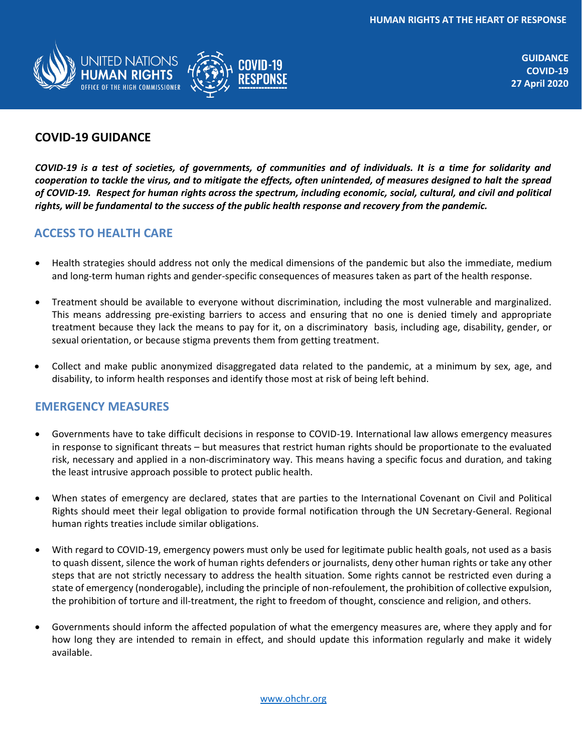

**GUIDANCE COVID-19 27 April 2020**

## **COVID-19 GUIDANCE**

*COVID-19 is a test of societies, of governments, of communities and of individuals. It is a time for solidarity and cooperation to tackle the virus, and to mitigate the effects, often unintended, of measures designed to halt the spread of COVID-19. Respect for human rights across the spectrum, including economic, social, cultural, and civil and political rights, will be fundamental to the success of the public health response and recovery from the pandemic.* 

#### **ACCESS TO HEALTH CARE**

- Health strategies should address not only the medical dimensions of the pandemic but also the immediate, medium and long-term human rights and gender-specific consequences of measures taken as part of the health response.
- Treatment should be available to everyone without discrimination, including the most vulnerable and marginalized. This means addressing pre-existing barriers to access and ensuring that no one is denied timely and appropriate treatment because they lack the means to pay for it, on a discriminatory basis, including age, disability, gender, or sexual orientation, or because stigma prevents them from getting treatment.
- Collect and make public anonymized disaggregated data related to the pandemic, at a minimum by sex, age, and disability, to inform health responses and identify those most at risk of being left behind.

#### **EMERGENCY MEASURES**

- Governments have to take difficult decisions in response to COVID-19. International law allows emergency measures in response to significant threats – but measures that restrict human rights should be proportionate to the evaluated risk, necessary and applied in a non-discriminatory way. This means having a specific focus and duration, and taking the least intrusive approach possible to protect public health.
- When states of emergency are declared, states that are parties to the International Covenant on Civil and Political Rights should meet their legal obligation to provide formal notification through the UN Secretary-General. Regional human rights treaties include similar obligations.
- With regard to COVID-19, emergency powers must only be used for legitimate public health goals, not used as a basis to quash dissent, silence the work of human rights defenders or journalists, deny other human rights or take any other steps that are not strictly necessary to address the health situation. Some rights cannot be restricted even during a state of emergency (nonderogable), including the principle of non-refoulement, the prohibition of collective expulsion, the prohibition of torture and ill-treatment, the right to freedom of thought, conscience and religion, and others.
- Governments should inform the affected population of what the emergency measures are, where they apply and for how long they are intended to remain in effect, and should update this information regularly and make it widely available.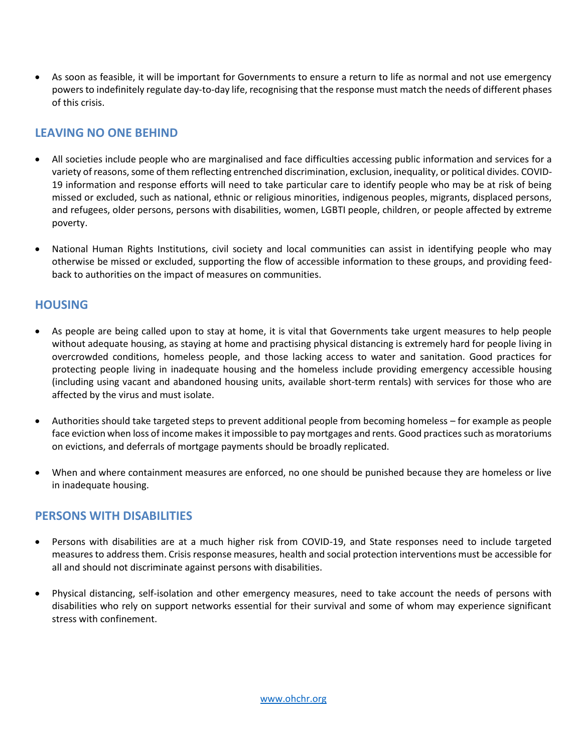As soon as feasible, it will be important for Governments to ensure a return to life as normal and not use emergency powers to indefinitely regulate day-to-day life, recognising that the response must match the needs of different phases of this crisis.

## **LEAVING NO ONE BEHIND**

- All societies include people who are marginalised and face difficulties accessing public information and services for a variety of reasons, some of them reflecting entrenched discrimination, exclusion, inequality, or political divides. COVID-19 information and response efforts will need to take particular care to identify people who may be at risk of being missed or excluded, such as national, ethnic or religious minorities, indigenous peoples, migrants, displaced persons, and refugees, older persons, persons with disabilities, women, LGBTI people, children, or people affected by extreme poverty.
- National Human Rights Institutions, civil society and local communities can assist in identifying people who may otherwise be missed or excluded, supporting the flow of accessible information to these groups, and providing feedback to authorities on the impact of measures on communities.

## **HOUSING**

- As people are being called upon to stay at home, it is vital that Governments take urgent measures to help people without adequate housing, as staying at home and practising physical distancing is extremely hard for people living in overcrowded conditions, homeless people, and those lacking access to water and sanitation. Good practices for protecting people living in inadequate housing and the homeless include providing emergency accessible housing (including using vacant and abandoned housing units, available short-term rentals) with services for those who are affected by the virus and must isolate.
- Authorities should take targeted steps to prevent additional people from becoming homeless for example as people face eviction when loss of income makes it impossible to pay mortgages and rents. Good practices such as moratoriums on evictions, and deferrals of mortgage payments should be broadly replicated.
- When and where containment measures are enforced, no one should be punished because they are homeless or live in inadequate housing.

## **PERSONS WITH DISABILITIES**

- Persons with disabilities are at a much higher risk from COVID-19, and State responses need to include targeted measures to address them. Crisis response measures, health and social protection interventions must be accessible for all and should not discriminate against persons with disabilities.
- Physical distancing, self-isolation and other emergency measures, need to take account the needs of persons with disabilities who rely on support networks essential for their survival and some of whom may experience significant stress with confinement.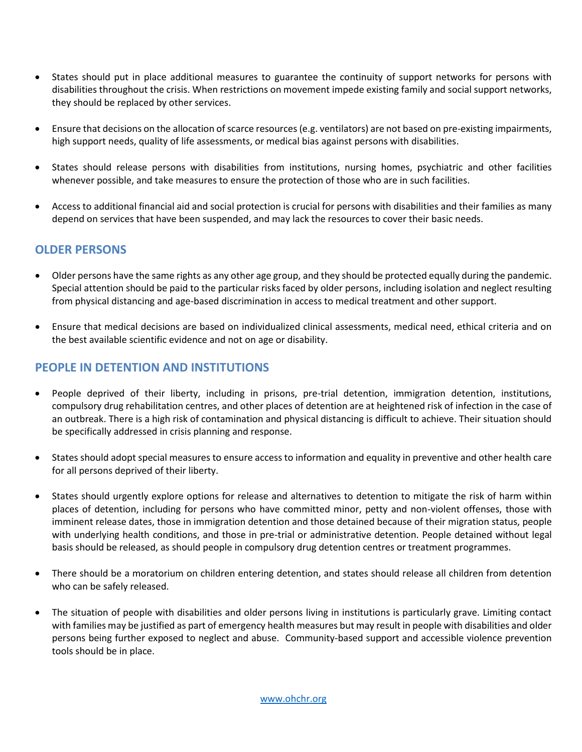- States should put in place additional measures to guarantee the continuity of support networks for persons with disabilities throughout the crisis. When restrictions on movement impede existing family and social support networks, they should be replaced by other services.
- Ensure that decisions on the allocation of scarce resources (e.g. ventilators) are not based on pre-existing impairments, high support needs, quality of life assessments, or medical bias against persons with disabilities.
- States should release persons with disabilities from institutions, nursing homes, psychiatric and other facilities whenever possible, and take measures to ensure the protection of those who are in such facilities.
- Access to additional financial aid and social protection is crucial for persons with disabilities and their families as many depend on services that have been suspended, and may lack the resources to cover their basic needs.

#### **OLDER PERSONS**

- Older persons have the same rights as any other age group, and they should be protected equally during the pandemic. Special attention should be paid to the particular risks faced by older persons, including isolation and neglect resulting from physical distancing and age-based discrimination in access to medical treatment and other support.
- Ensure that medical decisions are based on individualized clinical assessments, medical need, ethical criteria and on the best available scientific evidence and not on age or disability.

#### **PEOPLE IN DETENTION AND INSTITUTIONS**

- People deprived of their liberty, including in prisons, pre-trial detention, immigration detention, institutions, compulsory drug rehabilitation centres, and other places of detention are at heightened risk of infection in the case of an outbreak. There is a high risk of contamination and physical distancing is difficult to achieve. Their situation should be specifically addressed in crisis planning and response.
- States should adopt special measures to ensure access to information and equality in preventive and other health care for all persons deprived of their liberty.
- States should urgently explore options for release and alternatives to detention to mitigate the risk of harm within places of detention, including for persons who have committed minor, petty and non-violent offenses, those with imminent release dates, those in immigration detention and those detained because of their migration status, people with underlying health conditions, and those in pre-trial or administrative detention. People detained without legal basis should be released, as should people in compulsory drug detention centres or treatment programmes.
- There should be a moratorium on children entering detention, and states should release all children from detention who can be safely released.
- The situation of people with disabilities and older persons living in institutions is particularly grave. Limiting contact with families may be justified as part of emergency health measures but may result in people with disabilities and older persons being further exposed to neglect and abuse. Community-based support and accessible violence prevention tools should be in place.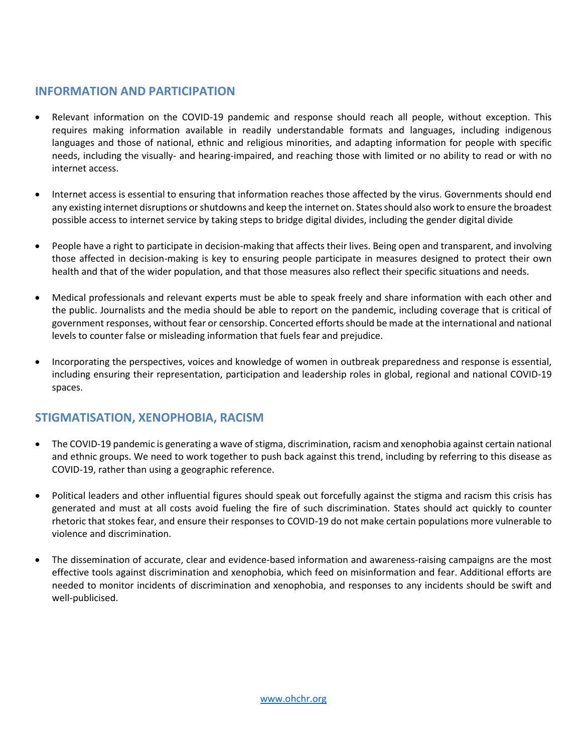## **INFORMATION AND PARTICIPATION**

- Relevant information on the COVID-19 pandemic and response should reach all people, without exception. This requires making information available in readily understandable formats and languages, including indigenous languages and those of national, ethnic and religious minorities, and adapting information for people with specific needs, including the visually- and hearing-impaired, and reaching those with limited or no ability to read or with no internet access.
- Internet access is essential to ensuring that information reaches those affected by the virus. Governments should end any existing internet disruptions or shutdowns and keep the internet on. States should also work to ensure the broadest possible access to internet service by taking steps to bridge digital divides, including the gender digital divide
- People have a right to participate in decision-making that affects their lives. Being open and transparent, and involving those affected in decision-making is key to ensuring people participate in measures designed to protect their own health and that of the wider population, and that those measures also reflect their specific situations and needs.
- Medical professionals and relevant experts must be able to speak freely and share information with each other and the public. Journalists and the media should be able to report on the pandemic, including coverage that is critical of government responses, without fear or censorship. Concerted efforts should be made at the international and national levels to counter false or misleading information that fuels fear and prejudice.
- Incorporating the perspectives, voices and knowledge of women in outbreak preparedness and response is essential, including ensuring their representation, participation and leadership roles in global, regional and national COVID-19 spaces.

# **STIGMATISATION, XENOPHOBIA, RACISM**

- The COVID-19 pandemic is generating a wave of stigma, discrimination, racism and xenophobia against certain national and ethnic groups. We need to work together to push back against this trend, including by referring to this disease as COVID-19, rather than using a geographic reference.
- Political leaders and other influential figures should speak out forcefully against the stigma and racism this crisis has generated and must at all costs avoid fueling the fire of such discrimination. States should act quickly to counter rhetoric that stokes fear, and ensure their responses to COVID-19 do not make certain populations more vulnerable to violence and discrimination.
- The dissemination of accurate, clear and evidence-based information and awareness-raising campaigns are the most effective tools against discrimination and xenophobia, which feed on misinformation and fear. Additional efforts are needed to monitor incidents of discrimination and xenophobia, and responses to any incidents should be swift and well-publicised.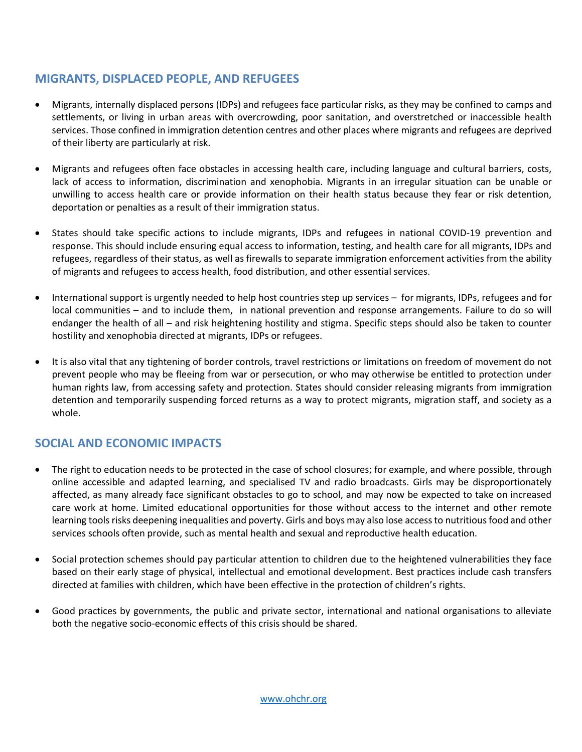## **MIGRANTS, DISPLACED PEOPLE, AND REFUGEES**

- Migrants, internally displaced persons (IDPs) and refugees face particular risks, as they may be confined to camps and settlements, or living in urban areas with overcrowding, poor sanitation, and overstretched or inaccessible health services. Those confined in immigration detention centres and other places where migrants and refugees are deprived of their liberty are particularly at risk.
- Migrants and refugees often face obstacles in accessing health care, including language and cultural barriers, costs, lack of access to information, discrimination and xenophobia. Migrants in an irregular situation can be unable or unwilling to access health care or provide information on their health status because they fear or risk detention, deportation or penalties as a result of their immigration status.
- States should take specific actions to include migrants, IDPs and refugees in national COVID-19 prevention and response. This should include ensuring equal access to information, testing, and health care for all migrants, IDPs and refugees, regardless of their status, as well as firewalls to separate immigration enforcement activities from the ability of migrants and refugees to access health, food distribution, and other essential services.
- International support is urgently needed to help host countries step up services for migrants, IDPs, refugees and for local communities – and to include them, in national prevention and response arrangements. Failure to do so will endanger the health of all – and risk heightening hostility and stigma. Specific steps should also be taken to counter hostility and xenophobia directed at migrants, IDPs or refugees.
- It is also vital that any tightening of border controls, travel restrictions or limitations on freedom of movement do not prevent people who may be fleeing from war or persecution, or who may otherwise be entitled to protection under human rights law, from accessing safety and protection. States should consider releasing migrants from immigration detention and temporarily suspending forced returns as a way to protect migrants, migration staff, and society as a whole.

# **SOCIAL AND ECONOMIC IMPACTS**

- The right to education needs to be protected in the case of school closures; for example, and where possible, through online accessible and adapted learning, and specialised TV and radio broadcasts. Girls may be disproportionately affected, as many already face significant obstacles to go to school, and may now be expected to take on increased care work at home. Limited educational opportunities for those without access to the internet and other remote learning tools risks deepening inequalities and poverty. Girls and boys may also lose access to nutritious food and other services schools often provide, such as mental health and sexual and reproductive health education.
- Social protection schemes should pay particular attention to children due to the heightened vulnerabilities they face based on their early stage of physical, intellectual and emotional development. Best practices include cash transfers directed at families with children, which have been effective in the protection of children's rights.
- Good practices by governments, the public and private sector, international and national organisations to alleviate both the negative socio-economic effects of this crisis should be shared.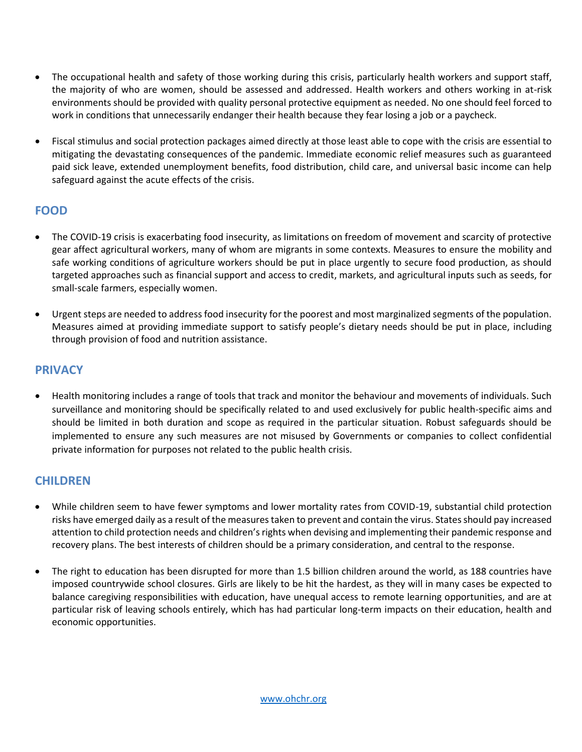- The occupational health and safety of those working during this crisis, particularly health workers and support staff, the majority of who are women, should be assessed and addressed. Health workers and others working in at-risk environments should be provided with quality personal protective equipment as needed. No one should feel forced to work in conditions that unnecessarily endanger their health because they fear losing a job or a paycheck.
- Fiscal stimulus and social protection packages aimed directly at those least able to cope with the crisis are essential to mitigating the devastating consequences of the pandemic. Immediate economic relief measures such as guaranteed paid sick leave, extended unemployment benefits, food distribution, child care, and universal basic income can help safeguard against the acute effects of the crisis.

## **FOOD**

- The COVID-19 crisis is exacerbating food insecurity, as limitations on freedom of movement and scarcity of protective gear affect agricultural workers, many of whom are migrants in some contexts. Measures to ensure the mobility and safe working conditions of agriculture workers should be put in place urgently to secure food production, as should targeted approaches such as financial support and access to credit, markets, and agricultural inputs such as seeds, for small-scale farmers, especially women.
- Urgent steps are needed to address food insecurity for the poorest and most marginalized segments of the population. Measures aimed at providing immediate support to satisfy people's dietary needs should be put in place, including through provision of food and nutrition assistance.

#### **PRIVACY**

 Health monitoring includes a range of tools that track and monitor the behaviour and movements of individuals. Such surveillance and monitoring should be specifically related to and used exclusively for public health-specific aims and should be limited in both duration and scope as required in the particular situation. Robust safeguards should be implemented to ensure any such measures are not misused by Governments or companies to collect confidential private information for purposes not related to the public health crisis.

## **CHILDREN**

- While children seem to have fewer symptoms and lower mortality rates from COVID-19, substantial child protection risks have emerged daily as a result of the measures taken to prevent and contain the virus. States should pay increased attention to child protection needs and children's rights when devising and implementing their pandemic response and recovery plans. The best interests of children should be a primary consideration, and central to the response.
- The right to education has been disrupted for more than 1.5 billion children around the world, as 188 countries have imposed countrywide school closures. Girls are likely to be hit the hardest, as they will in many cases be expected to balance caregiving responsibilities with education, have unequal access to remote learning opportunities, and are at particular risk of leaving schools entirely, which has had particular long-term impacts on their education, health and economic opportunities.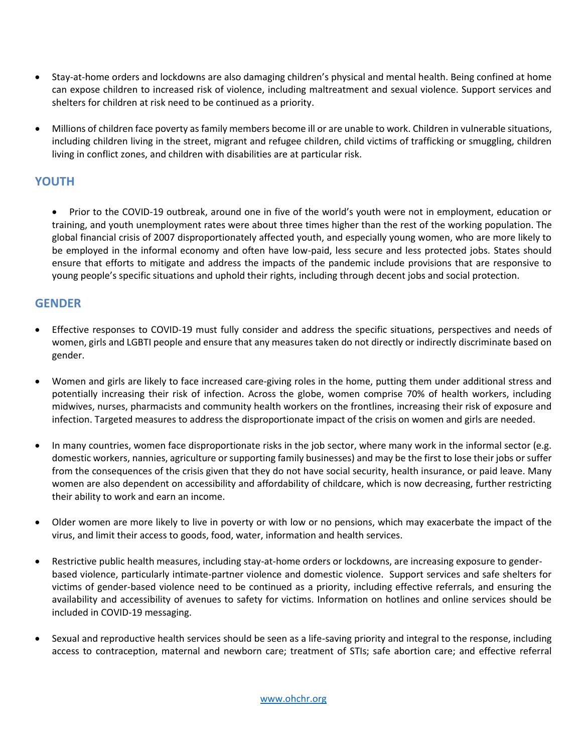- Stay-at-home orders and lockdowns are also damaging children's physical and mental health. Being confined at home can expose children to increased risk of violence, including maltreatment and sexual violence. Support services and shelters for children at risk need to be continued as a priority.
- Millions of children face poverty as family members become ill or are unable to work. Children in vulnerable situations, including children living in the street, migrant and refugee children, child victims of trafficking or smuggling, children living in conflict zones, and children with disabilities are at particular risk.

## **YOUTH**

 Prior to the COVID-19 outbreak, around one in five of the world's youth were not in employment, education or training, and youth unemployment rates were about three times higher than the rest of the working population. The global financial crisis of 2007 disproportionately affected youth, and especially young women, who are more likely to be employed in the informal economy and often have low-paid, less secure and less protected jobs. States should ensure that efforts to mitigate and address the impacts of the pandemic include provisions that are responsive to young people's specific situations and uphold their rights, including through decent jobs and social protection.

#### **GENDER**

- Effective responses to COVID-19 must fully consider and address the specific situations, perspectives and needs of women, girls and LGBTI people and ensure that any measures taken do not directly or indirectly discriminate based on gender.
- Women and girls are likely to face increased care-giving roles in the home, putting them under additional stress and potentially increasing their risk of infection. Across the globe, women comprise 70% of health workers, including midwives, nurses, pharmacists and community health workers on the frontlines, increasing their risk of exposure and infection. Targeted measures to address the disproportionate impact of the crisis on women and girls are needed.
- In many countries, women face disproportionate risks in the job sector, where many work in the informal sector (e.g. domestic workers, nannies, agriculture or supporting family businesses) and may be the first to lose their jobs or suffer from the consequences of the crisis given that they do not have social security, health insurance, or paid leave. Many women are also dependent on accessibility and affordability of childcare, which is now decreasing, further restricting their ability to work and earn an income.
- Older women are more likely to live in poverty or with low or no pensions, which may exacerbate the impact of the virus, and limit their access to goods, food, water, information and health services.
- Restrictive public health measures, including stay-at-home orders or lockdowns, are increasing exposure to genderbased violence, particularly intimate-partner violence and domestic violence. Support services and safe shelters for victims of gender-based violence need to be continued as a priority, including effective referrals, and ensuring the availability and accessibility of avenues to safety for victims. Information on hotlines and online services should be included in COVID-19 messaging.
- Sexual and reproductive health services should be seen as a life-saving priority and integral to the response, including access to contraception, maternal and newborn care; treatment of STIs; safe abortion care; and effective referral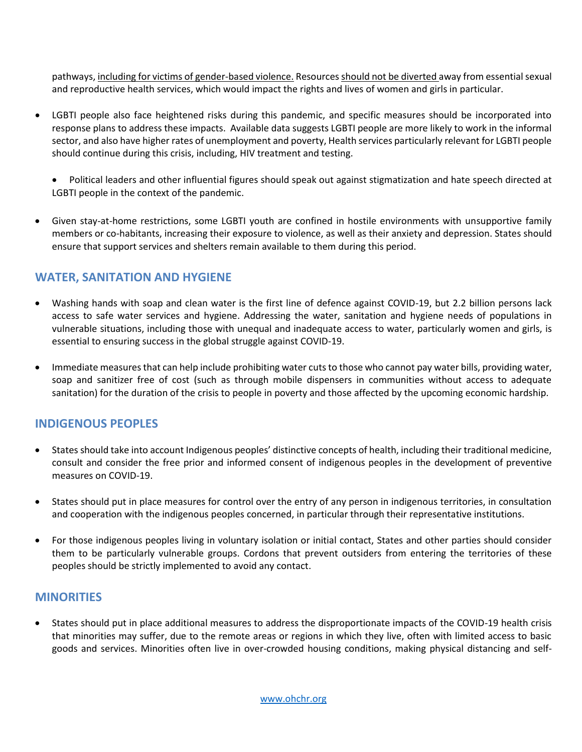pathways, including for victims of gender-based violence. Resources should not be diverted away from essential sexual and reproductive health services, which would impact the rights and lives of women and girls in particular.

- LGBTI people also face heightened risks during this pandemic, and specific measures should be incorporated into response plans to address these impacts. Available data suggests LGBTI people are more likely to work in the informal sector, and also have higher rates of unemployment and poverty, Health services particularly relevant for LGBTI people should continue during this crisis, including, HIV treatment and testing.
	- Political leaders and other influential figures should speak out against stigmatization and hate speech directed at LGBTI people in the context of the pandemic.
- Given stay-at-home restrictions, some LGBTI youth are confined in hostile environments with unsupportive family members or co-habitants, increasing their exposure to violence, as well as their anxiety and depression. States should ensure that support services and shelters remain available to them during this period.

## **WATER, SANITATION AND HYGIENE**

- Washing hands with soap and clean water is the first line of defence against COVID-19, but 2.2 billion persons lack access to safe water services and hygiene. Addressing the water, sanitation and hygiene needs of populations in vulnerable situations, including those with unequal and inadequate access to water, particularly women and girls, is essential to ensuring success in the global struggle against COVID-19.
- Immediate measures that can help include prohibiting water cuts to those who cannot pay water bills, providing water, soap and sanitizer free of cost (such as through mobile dispensers in communities without access to adequate sanitation) for the duration of the crisis to people in poverty and those affected by the upcoming economic hardship.

#### **INDIGENOUS PEOPLES**

- States should take into account Indigenous peoples' distinctive concepts of health, including their traditional medicine, consult and consider the free prior and informed consent of indigenous peoples in the development of preventive measures on COVID-19.
- States should put in place measures for control over the entry of any person in indigenous territories, in consultation and cooperation with the indigenous peoples concerned, in particular through their representative institutions.
- For those indigenous peoples living in voluntary isolation or initial contact, States and other parties should consider them to be particularly vulnerable groups. Cordons that prevent outsiders from entering the territories of these peoples should be strictly implemented to avoid any contact.

#### **MINORITIES**

 States should put in place additional measures to address the disproportionate impacts of the COVID-19 health crisis that minorities may suffer, due to the remote areas or regions in which they live, often with limited access to basic goods and services. Minorities often live in over-crowded housing conditions, making physical distancing and self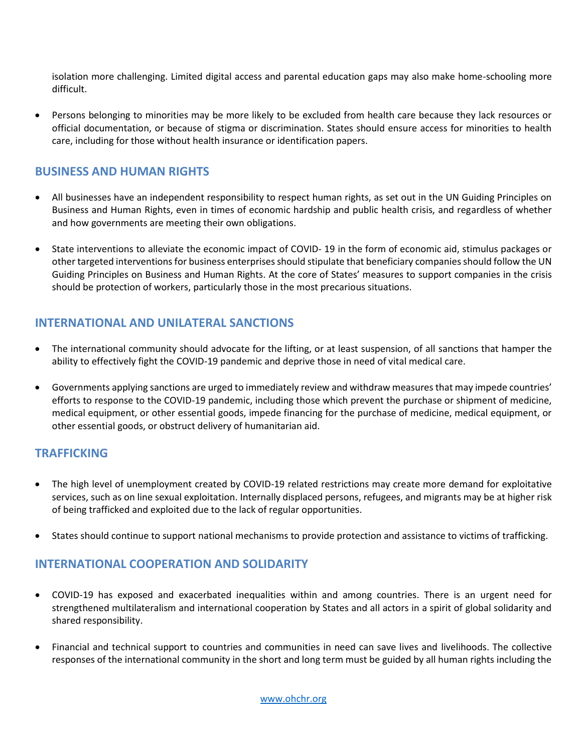isolation more challenging. Limited digital access and parental education gaps may also make home-schooling more difficult.

 Persons belonging to minorities may be more likely to be excluded from health care because they lack resources or official documentation, or because of stigma or discrimination. States should ensure access for minorities to health care, including for those without health insurance or identification papers.

#### **BUSINESS AND HUMAN RIGHTS**

- All businesses have an independent responsibility to respect human rights, as set out in the UN Guiding Principles on Business and Human Rights, even in times of economic hardship and public health crisis, and regardless of whether and how governments are meeting their own obligations.
- State interventions to alleviate the economic impact of COVID- 19 in the form of economic aid, stimulus packages or other targeted interventions for business enterprises should stipulate that beneficiary companies should follow the UN Guiding Principles on Business and Human Rights. At the core of States' measures to support companies in the crisis should be protection of workers, particularly those in the most precarious situations.

## **INTERNATIONAL AND UNILATERAL SANCTIONS**

- The international community should advocate for the lifting, or at least suspension, of all sanctions that hamper the ability to effectively fight the COVID-19 pandemic and deprive those in need of vital medical care.
- Governments applying sanctions are urged to immediately review and withdraw measures that may impede countries' efforts to response to the COVID-19 pandemic, including those which prevent the purchase or shipment of medicine, medical equipment, or other essential goods, impede financing for the purchase of medicine, medical equipment, or other essential goods, or obstruct delivery of humanitarian aid.

#### **TRAFFICKING**

- The high level of unemployment created by COVID-19 related restrictions may create more demand for exploitative services, such as on line sexual exploitation. Internally displaced persons, refugees, and migrants may be at higher risk of being trafficked and exploited due to the lack of regular opportunities.
- States should continue to support national mechanisms to provide protection and assistance to victims of trafficking.

## **INTERNATIONAL COOPERATION AND SOLIDARITY**

- COVID-19 has exposed and exacerbated inequalities within and among countries. There is an urgent need for strengthened multilateralism and international cooperation by States and all actors in a spirit of global solidarity and shared responsibility.
- Financial and technical support to countries and communities in need can save lives and livelihoods. The collective responses of the international community in the short and long term must be guided by all human rights including the